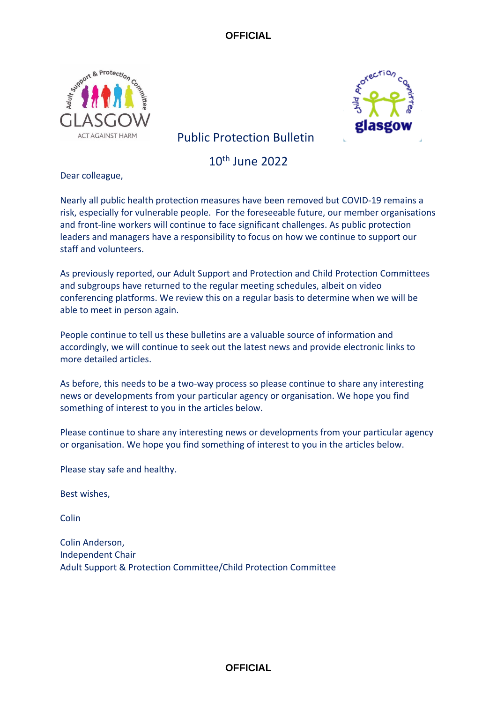



# Public Protection Bulletin

10th June 2022

Dear colleague,

Nearly all public health protection measures have been removed but COVID-19 remains a risk, especially for vulnerable people. For the foreseeable future, our member organisations and front-line workers will continue to face significant challenges. As public protection leaders and managers have a responsibility to focus on how we continue to support our staff and volunteers.

As previously reported, our Adult Support and Protection and Child Protection Committees and subgroups have returned to the regular meeting schedules, albeit on video conferencing platforms. We review this on a regular basis to determine when we will be able to meet in person again.

People continue to tell us these bulletins are a valuable source of information and accordingly, we will continue to seek out the latest news and provide electronic links to more detailed articles.

As before, this needs to be a two-way process so please continue to share any interesting news or developments from your particular agency or organisation. We hope you find something of interest to you in the articles below.

Please continue to share any interesting news or developments from your particular agency or organisation. We hope you find something of interest to you in the articles below.

Please stay safe and healthy.

Best wishes,

Colin

Colin Anderson, Independent Chair Adult Support & Protection Committee/Child Protection Committee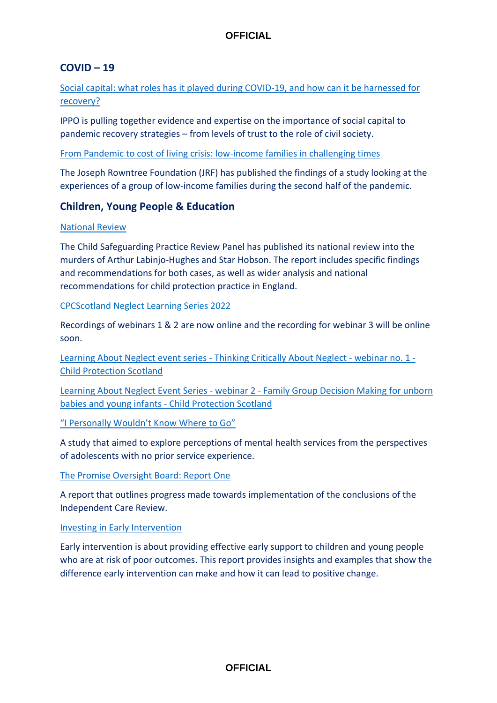## **COVID – 19**

[Social capital: what roles has it played during COVID-19, and how can it be harnessed for](https://covidandsociety.com/social-capital-roles-during-covid-19-harnessed-for-recovery/)  [recovery?](https://covidandsociety.com/social-capital-roles-during-covid-19-harnessed-for-recovery/)

IPPO is pulling together evidence and expertise on the importance of social capital to pandemic recovery strategies – from levels of trust to the role of civil society.

[From Pandemic to cost of living crisis: low-income families in challenging times](https://www.jrf.org.uk/report/pandemic-cost-living-crisis-low-income-families-challenging-times)

The Joseph Rowntree Foundation (JRF) has published the findings of a study looking at the experiences of a group of low-income families during the second half of the pandemic.

## **Children, Young People & Education**

#### [National Review](https://www.gov.uk/government/publications/national-review-into-the-murders-of-arthur-labinjo-hughes-and-star-hobson)

The Child Safeguarding Practice Review Panel has published its national review into the murders of Arthur Labinjo-Hughes and Star Hobson. The report includes specific findings and recommendations for both cases, as well as wider analysis and national recommendations for child protection practice in England.

CPCScotland Neglect Learning Series 2022

Recordings of webinars 1 & 2 are now online and the recording for webinar 3 will be online soon.

[Learning About Neglect event series -](https://eur02.safelinks.protection.outlook.com/?url=https%3A%2F%2Fwww.childprotection.scot%2Fpublication%2Flearning-about-neglect-event-series-thinking-critically-about-neglect-webinar-no-1%2F&data=05%7C01%7Csusan.mitchell%40strath.ac.uk%7C2248f4641baf4d8c1b1208da3ef8ca37%7C631e0763153347eba5cd0457bee5944e%7C0%7C0%7C637891535522678924%7CUnknown%7CTWFpbGZsb3d8eyJWIjoiMC4wLjAwMDAiLCJQIjoiV2luMzIiLCJBTiI6Ik1haWwiLCJXVCI6Mn0%3D%7C3000%7C%7C%7C&sdata=ED3JZwbPmR%2FnP6wwRbo6PQpKmbejb4VHvpQ%2BXlitk2E%3D&reserved=0) Thinking Critically About Neglect - webinar no. 1 - [Child Protection Scotland](https://eur02.safelinks.protection.outlook.com/?url=https%3A%2F%2Fwww.childprotection.scot%2Fpublication%2Flearning-about-neglect-event-series-thinking-critically-about-neglect-webinar-no-1%2F&data=05%7C01%7Csusan.mitchell%40strath.ac.uk%7C2248f4641baf4d8c1b1208da3ef8ca37%7C631e0763153347eba5cd0457bee5944e%7C0%7C0%7C637891535522678924%7CUnknown%7CTWFpbGZsb3d8eyJWIjoiMC4wLjAwMDAiLCJQIjoiV2luMzIiLCJBTiI6Ik1haWwiLCJXVCI6Mn0%3D%7C3000%7C%7C%7C&sdata=ED3JZwbPmR%2FnP6wwRbo6PQpKmbejb4VHvpQ%2BXlitk2E%3D&reserved=0)

Learning About Neglect Event Series - webinar 2 - [Family Group Decision Making for unborn](https://eur02.safelinks.protection.outlook.com/?url=https%3A%2F%2Fwww.childprotection.scot%2Fpublication%2Flearning-about-neglect-event-series-thinking-critically-about-neglect-webinar-no-2%2F&data=05%7C01%7Csusan.mitchell%40strath.ac.uk%7C2248f4641baf4d8c1b1208da3ef8ca37%7C631e0763153347eba5cd0457bee5944e%7C0%7C0%7C637891535522835921%7CUnknown%7CTWFpbGZsb3d8eyJWIjoiMC4wLjAwMDAiLCJQIjoiV2luMzIiLCJBTiI6Ik1haWwiLCJXVCI6Mn0%3D%7C3000%7C%7C%7C&sdata=8%2BC4vto%2BsqLZ9PJ107dWp9mcjf2GfN9kR83FIZh7VOg%3D&reserved=0)  [babies and young infants -](https://eur02.safelinks.protection.outlook.com/?url=https%3A%2F%2Fwww.childprotection.scot%2Fpublication%2Flearning-about-neglect-event-series-thinking-critically-about-neglect-webinar-no-2%2F&data=05%7C01%7Csusan.mitchell%40strath.ac.uk%7C2248f4641baf4d8c1b1208da3ef8ca37%7C631e0763153347eba5cd0457bee5944e%7C0%7C0%7C637891535522835921%7CUnknown%7CTWFpbGZsb3d8eyJWIjoiMC4wLjAwMDAiLCJQIjoiV2luMzIiLCJBTiI6Ik1haWwiLCJXVCI6Mn0%3D%7C3000%7C%7C%7C&sdata=8%2BC4vto%2BsqLZ9PJ107dWp9mcjf2GfN9kR83FIZh7VOg%3D&reserved=0) Child Protection Scotland

["I Personally Wouldn't Know Where to Go"](https://journals.sagepub.com/doi/full/10.1177/07435584221076056)

A study that aimed to explore perceptions of mental health services from the perspectives of adolescents with no prior service experience.

#### [The Promise Oversight Board: Report One](https://thepromise.scot/assets/UPLOADS/DOCUMENTS/Promise%20Oversight%20Board%20Report%20ONE%20FINAL.pdf)

A report that outlines progress made towards implementation of the conclusions of the Independent Care Review.

#### [Investing in Early Intervention](https://cerebra.org.uk/download/investing-in-early-intervention/)

Early intervention is about providing effective early support to children and young people who are at risk of poor outcomes. This report provides insights and examples that show the difference early intervention can make and how it can lead to positive change.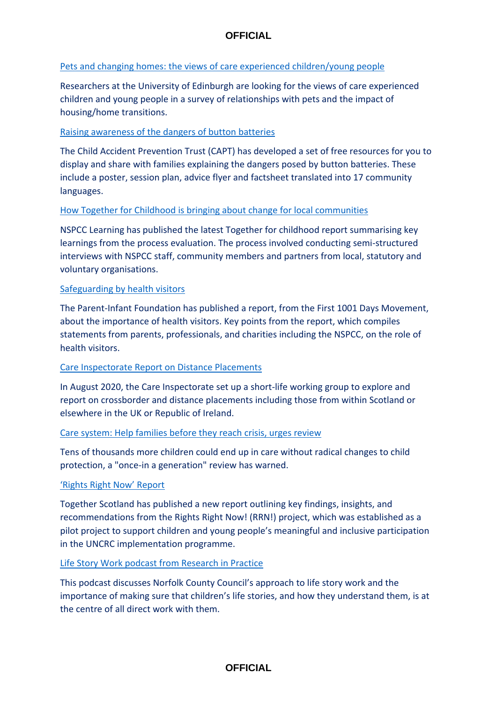### [Pets and changing homes: the views of care experienced children/young people](https://www.ed.ac.uk/health/research/centres/cadp/child-animal-research/research-and-knowledge-exchange-projects/engaging-with-practitioners/pets-and-changing-homes?utm_medium=email&utm_source=govdelivery)

Researchers at the University of Edinburgh are looking for the views of care experienced children and young people in a survey of relationships with pets and the impact of housing/home transitions.

### [Raising awareness of the dangers of button batteries](https://www.capt.org.uk/button-battery-safety?utm_medium=email&utm_source=govdelivery)

The Child Accident Prevention Trust (CAPT) has developed a set of free resources for you to display and share with families explaining the dangers posed by button batteries. These include a poster, session plan, advice flyer and factsheet translated into 17 community languages.

### [How Together for Childhood is bringing about change for local communities](https://learning.nspcc.org.uk/research-resources/2022/together-for-childhood-design-principles-evaluation?utm_source=Adestra&utm_medium=email&utm_content=How%20Together%20for%20Childhood%20is%20bringing%20about%20change%20for%20local%20communities&utm_campaign=20220516_KIS_CASPAR_May16)

NSPCC Learning has published the latest Together for childhood report summarising key learnings from the process evaluation. The process involved conducting semi-structured interviews with NSPCC staff, community members and partners from local, statutory and voluntary organisations.

### [Safeguarding by health visitors](https://parentinfantfoundation.org.uk/health-visitors-matter/)

The Parent-Infant Foundation has published a report, from the First 1001 Days Movement, about the importance of health visitors. Key points from the report, which compiles statements from parents, professionals, and charities including the NSPCC, on the role of health visitors.

#### [Care Inspectorate Report on Distance Placements](https://www.careinspectorate.com/images/documents/6670/Distance%20placements%20exploration%20report%202022.pdf)

In August 2020, the Care Inspectorate set up a short-life working group to explore and report on crossborder and distance placements including those from within Scotland or elsewhere in the UK or Republic of Ireland.

#### [Care system: Help families before they reach crisis, urges review](https://www.bbc.co.uk/news/uk-61509043)

Tens of thousands more children could end up in care without radical changes to child protection, a "once-in a generation" review has warned.

#### ['Rights Right Now' Report](https://www.togetherscotland.org.uk/media/3092/rrn19052022.pdf)

Together Scotland has published a new report outlining key findings, insights, and recommendations from the Rights Right Now! (RRN!) project, which was established as a pilot project to support children and young people's meaningful and inclusive participation in the UNCRC implementation programme.

#### [Life Story Work podcast from Research in Practice](https://www.researchinpractice.org.uk/children/content-pages/podcasts/ensuring-childrens-life-stories-are-at-the-centre-of-direct-work/?utm_source=Non-Partner+bulletin&utm_campaign=da4b9313c0-Non_partner_May_22&utm_medium=email&utm_term=0_4146f9bdbb-da4b9313c0-38176525)

This podcast discusses Norfolk County Council's approach to life story work and the importance of making sure that children's life stories, and how they understand them, is at the centre of all direct work with them.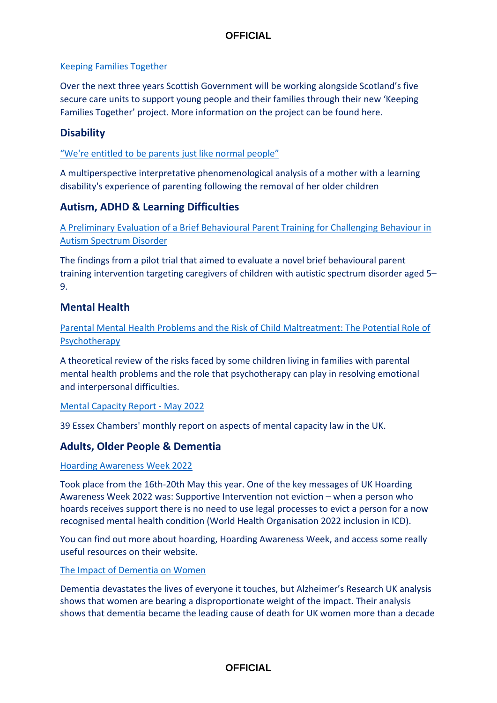## [Keeping Families Together](https://socialworkscotland.us13.list-manage.com/track/click?u=a1d6646f1ed133a18f3d080c0&id=b7ee089006&e=b02894b17b)

Over the next three years Scottish Government will be working alongside Scotland's five secure care units to support young people and their families through their new 'Keeping Families Together' project. More information on the project can be found here.

## **Disability**

### ["We're entitled to be parents just like normal people"](https://doi.org/10.1111/bld.12481)

A multiperspective interpretative phenomenological analysis of a mother with a learning disability's experience of parenting following the removal of her older children

## **Autism, ADHD & Learning Difficulties**

[A Preliminary Evaluation of a Brief Behavioural Parent Training for Challenging Behaviour in](https://doi.org/10.1007/s10803-022-05493-3)  [Autism Spectrum Disorder](https://doi.org/10.1007/s10803-022-05493-3)

The findings from a pilot trial that aimed to evaluate a novel brief behavioural parent training intervention targeting caregivers of children with autistic spectrum disorder aged 5– 9.

## **Mental Health**

[Parental Mental Health Problems and the Risk of Child Maltreatment: The Potential Role of](https://doi.org/10.3390/soc11030108)  [Psychotherapy](https://doi.org/10.3390/soc11030108)

A theoretical review of the risks faced by some children living in families with parental mental health problems and the role that psychotherapy can play in resolving emotional and interpersonal difficulties.

#### [Mental Capacity Report -](https://www.39essex.com/tag/mental-capacity-newsletter/) May 2022

39 Essex Chambers' monthly report on aspects of mental capacity law in the UK.

## **Adults, Older People & Dementia**

#### [Hoarding Awareness Week 2022](hoardingawarenessweek.org.uk)

Took place from the 16th-20th May this year. One of the key messages of UK Hoarding Awareness Week 2022 was: Supportive Intervention not eviction – when a person who hoards receives support there is no need to use legal processes to evict a person for a now recognised mental health condition (World Health Organisation 2022 inclusion in ICD).

You can find out more about hoarding, Hoarding Awareness Week, and access some really useful resources on their website.

#### [The Impact of Dementia on Women](https://www.alzheimersresearchuk.org/about-us/our-influence/policy-work/reports/the-impact-of-dementia-on-women/)

Dementia devastates the lives of everyone it touches, but Alzheimer's Research UK analysis shows that women are bearing a disproportionate weight of the impact. Their analysis shows that dementia became the leading cause of death for UK women more than a decade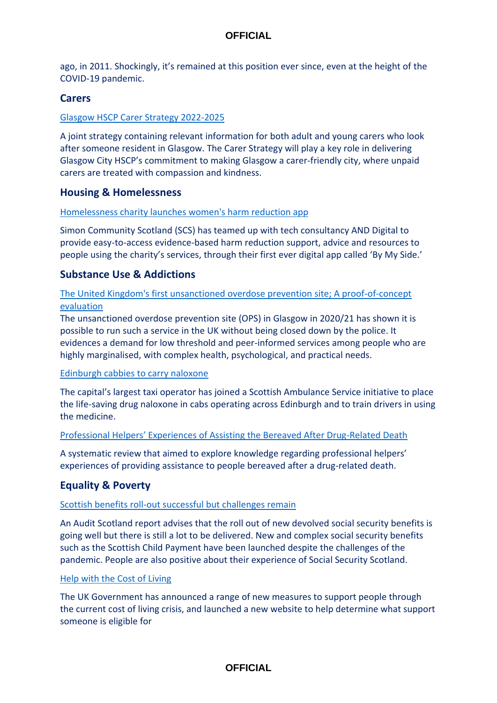ago, in 2011. Shockingly, it's remained at this position ever since, even at the height of the COVID-19 pandemic.

### **Carers**

### [Glasgow HSCP Carer Strategy 2022-2025](https://glasgowcity.hscp.scot/sites/default/files/publications/Glasgow%20City%20HSCP%20Carers%20Strategy%202022-2025.pdf)

A joint strategy containing relevant information for both adult and young carers who look after someone resident in Glasgow. The Carer Strategy will play a key role in delivering Glasgow City HSCP's commitment to making Glasgow a carer-friendly city, where unpaid carers are treated with compassion and kindness.

### **Housing & Homelessness**

#### [Homelessness charity launches women's harm reduction app](https://tfn.scot/news/homelessness-charity-launches-womens-harm-reduction-app?utm_medium=email&utm_campaign=TFN%20digest%20Friday%2027%20May%202022&utm_content=TFN%20digest%20Friday%2027%20May%202022+CID_1be5a7cf1b64fcd9ed241903ffe730b9&utm_source=tfn&utm_term=Homelessness%20charity%20launches%20womens%20harm%20reduction%20app)

Simon Community Scotland (SCS) has teamed up with tech consultancy AND Digital to provide easy-to-access evidence-based harm reduction support, advice and resources to people using the charity's services, through their first ever digital app called 'By My Side.'

## **Substance Use & Addictions**

### [The United Kingdom's first unsanctioned overdose prevention site; A proof-of-concept](https://www.sciencedirect.com/science/article/pii/S0955395922000901)  [evaluation](https://www.sciencedirect.com/science/article/pii/S0955395922000901)

The unsanctioned overdose prevention site (OPS) in Glasgow in 2020/21 has shown it is possible to run such a service in the UK without being closed down by the police. It evidences a demand for low threshold and peer-informed services among people who are highly marginalised, with complex health, psychological, and practical needs.

#### [Edinburgh cabbies to carry naloxone](https://www.healthandcare.scot/default.asp?page=story&story=3111)

The capital's largest taxi operator has joined a Scottish Ambulance Service initiative to place the life-saving drug naloxone in cabs operating across Edinburgh and to train drivers in using the medicine.

#### [Professional Helpers' Experiences of Assisting the Bereaved After Drug](https://journals.sagepub.com/doi/10.1177/14550725221085345)-Related Death

A systematic review that aimed to explore knowledge regarding professional helpers' experiences of providing assistance to people bereaved after a drug-related death.

## **Equality & Poverty**

#### [Scottish benefits roll-out successful but challenges remain](https://www.audit-scotland.gov.uk/news/scottish-benefits-roll-out-successful-but-challenges-remain)

An Audit Scotland report advises that the roll out of new devolved social security benefits is going well but there is still a lot to be delivered. New and complex social security benefits such as the Scottish Child Payment have been launched despite the challenges of the pandemic. People are also positive about their experience of Social Security Scotland.

#### [Help with the Cost of Living](https://costoflivingsupport.campaign.gov.uk/)

The UK Government has announced a range of new measures to support people through the current cost of living crisis, and launched a new website to help determine what support someone is eligible for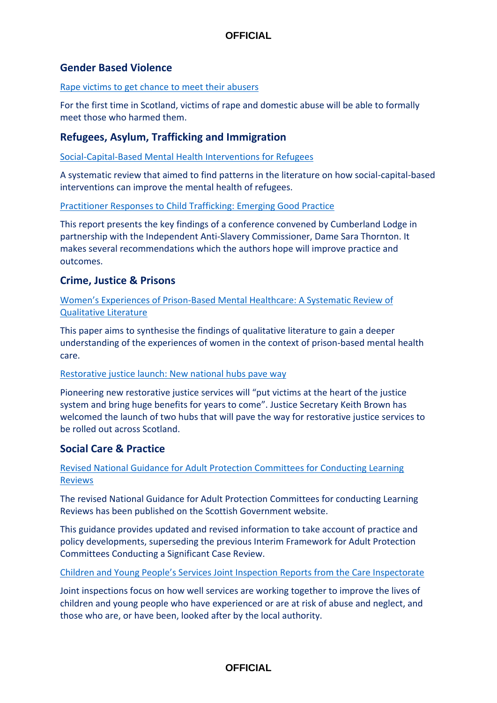## **Gender Based Violence**

[Rape victims to get chance to meet their abusers](https://www.bbc.co.uk/news/uk-scotland-61578224)

For the first time in Scotland, victims of rape and domestic abuse will be able to formally meet those who harmed them.

## **Refugees, Asylum, Trafficking and Immigration**

[Social-Capital-Based Mental Health Interventions for Refugees](https://doi.org/10.1016/j.socscimed.2022.114787)

A systematic review that aimed to find patterns in the literature on how social-capital-based interventions can improve the mental health of refugees.

[Practitioner Responses to Child Trafficking: Emerging Good Practice](https://www.cumberlandlodge.ac.uk/sites/default/files/practitioner_responses_to_child_trafficking_-_emerging_good_practice_screen.pdf)

This report presents the key findings of a conference convened by Cumberland Lodge in partnership with the Independent Anti-Slavery Commissioner, Dame Sara Thornton. It makes several recommendations which the authors hope will improve practice and outcomes.

## **Crime, Justice & Prisons**

Women's Experiences of Prison[-Based Mental Healthcare: A Systematic Review of](https://www.emerald.com/insight/content/doi/10.1108/IJPH-09-2021-0091/full/html)  [Qualitative Literature](https://www.emerald.com/insight/content/doi/10.1108/IJPH-09-2021-0091/full/html)

This paper aims to synthesise the findings of qualitative literature to gain a deeper understanding of the experiences of women in the context of prison-based mental health care.

#### [Restorative justice launch: New national hubs pave way](https://www.gov.scot/news/restorative-justice-launch/)

Pioneering new restorative justice services will "put victims at the heart of the justice system and bring huge benefits for years to come". Justice Secretary Keith Brown has welcomed the launch of two hubs that will pave the way for restorative justice services to be rolled out across Scotland.

## **Social Care & Practice**

[Revised National Guidance for Adult Protection Committees for Conducting Learning](https://www.gov.scot/isbn/9781804354322)  [Reviews](https://www.gov.scot/isbn/9781804354322)

The revised National Guidance for Adult Protection Committees for conducting Learning Reviews has been published on the Scottish Government website.

This guidance provides updated and revised information to take account of practice and policy developments, superseding the previous Interim Framework for Adult Protection Committees Conducting a Significant Case Review.

[Children and Young People's Services Joint Inspection Reports from the Care Inspectorate](https://www.careinspectorate.com/index.php/2-uncategorised/520-joint-inspection-of-services-to-protect-children-and-young-people-west-dunbartonshire-council-area)

Joint inspections focus on how well services are working together to improve the lives of children and young people who have experienced or are at risk of abuse and neglect, and those who are, or have been, looked after by the local authority.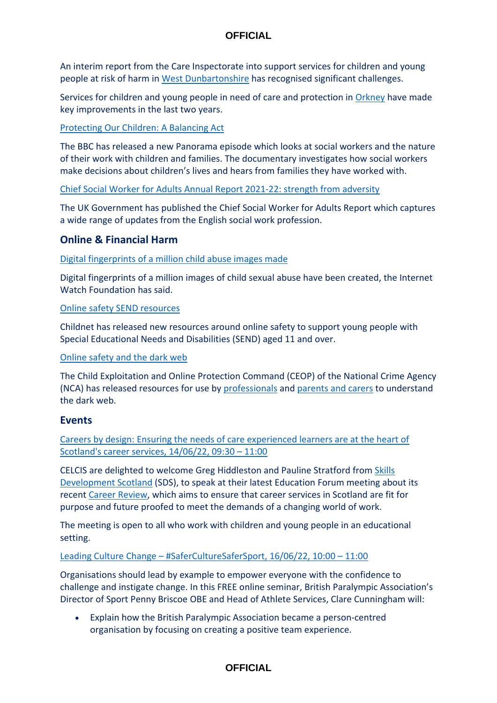An interim report from the Care Inspectorate into support services for children and young people at risk of harm in [West Dunbartonshire](https://www.careinspectorate.com/images/documents/6677/Joint%20inspection%20of%20services%20for%20children%20and%20young%20people%20West%20Dunbartonshire%20May%202022.pdf) has recognised significant challenges.

Services for children and young people in need of care and protection in [Orkney](https://www.careinspectorate.com/images/documents/6690/2nd%20progress%20review%20services%20for%20children%20and%20young%20people%20in%20Orkney%20May%202022.pdf) have made key improvements in the last two years.

## [Protecting Our Children: A Balancing Act](https://www.bbc.co.uk/programmes/m0017g7d)

The BBC has released a new Panorama episode which looks at social workers and the nature of their work with children and families. The documentary investigates how social workers make decisions about children's lives and hears from families they have worked with.

[Chief Social Worker for Adults Annual Report 2021-22: strength from adversity](https://socialworkwithadults.blog.gov.uk/2022/05/11/chief-social-worker-for-adults-annual-report-2021-22-strength-from-adversity/)

The UK Government has published the Chief Social Worker for Adults Report which captures a wide range of updates from the English social work profession.

## **Online & Financial Harm**

[Digital fingerprints of a million child abuse images made](https://www.bbc.co.uk/news/technology-61647195)

Digital fingerprints of a million images of child sexual abuse have been created, the Internet Watch Foundation has said.

### [Online safety SEND resources](https://www.childnet.com/what-we-do/our-projects/thrive-online/)

Childnet has released new resources around online safety to support young people with Special Educational Needs and Disabilities (SEND) aged 11 and over.

#### [Online safety and the dark web](https://www.thinkuknow.co.uk/professionals/resources/dark-web-explained/)

The Child Exploitation and Online Protection Command (CEOP) of the National Crime Agency (NCA) has released resources for use by [professionals](https://www.thinkuknow.co.uk/professionals/resources/dark-web-explained/) and [parents and carers](https://www.thinkuknow.co.uk/parents/articles/dark-web-explained/) to understand the dark web.

## **Events**

[Careers by design: Ensuring the needs of care experienced learners are at the heart of](https://www.eventbrite.co.uk/e/celcis-education-forum-careers-by-design-tickets-354633186407)  [Scotland's career services, 14/06/22, 09:30](https://www.eventbrite.co.uk/e/celcis-education-forum-careers-by-design-tickets-354633186407) – 11:00

CELCIS are delighted to welcome Greg Hiddleston and Pauline Stratford from [Skills](https://www.skillsdevelopmentscotland.co.uk/)  [Development Scotland](https://www.skillsdevelopmentscotland.co.uk/) (SDS), to speak at their latest Education Forum meeting about its recent [Career Review,](https://www.skillsdevelopmentscotland.co.uk/career-review/#:~:text=A%20key%20part%20of%20the,ambition%20of%20Scotland) which aims to ensure that career services in Scotland are fit for purpose and future proofed to meet the demands of a changing world of work.

The meeting is open to all who work with children and young people in an educational setting.

#### Leading Culture Change – [#SaferCultureSaferSport, 16/06/22, 10:00](https://www.anncrafttrust.org/events/leading-culture-change-saferculturesafersport-online-seminar-series/?utm_source=Ann+Craft+Trust&utm_campaign=a6eeac56a7-EMAIL_CAMPAIGN_2018_05_31_02_43_COPY_01&utm_medium=email&utm_term=0_d0139be1bf-a6eeac56a7-575981109) – 11:00

Organisations should lead by example to empower everyone with the confidence to challenge and instigate change. In this FREE online seminar, British Paralympic Association's Director of Sport Penny Briscoe OBE and Head of Athlete Services, Clare Cunningham will:

• Explain how the British Paralympic Association became a person-centred organisation by focusing on creating a positive team experience.